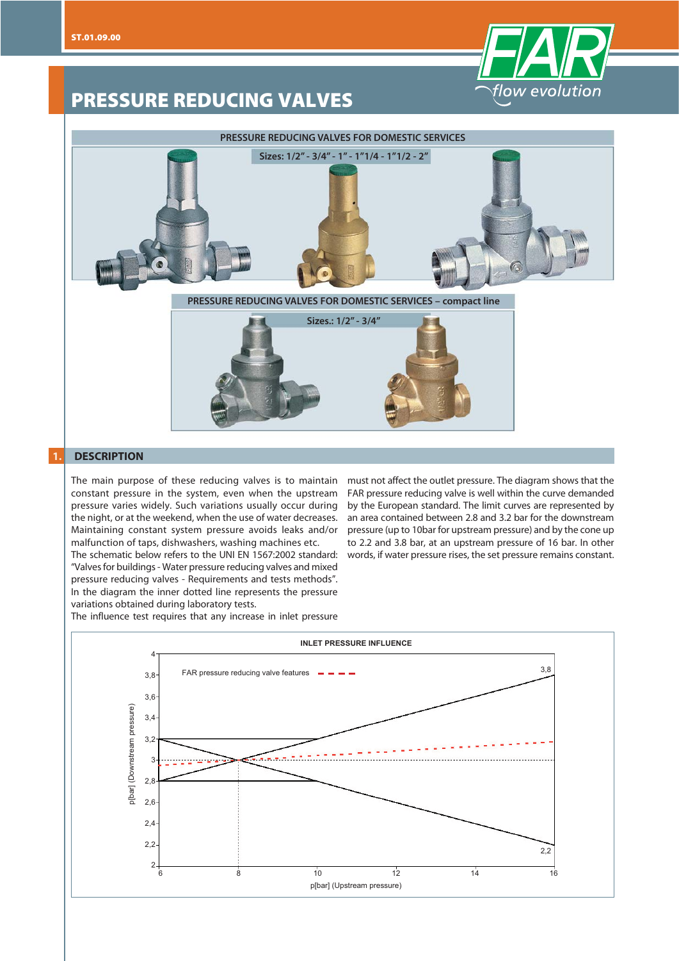

# **PRESSURE REDUCING VALVES**



## **1. DESCRIPTION**

The main purpose of these reducing valves is to maintain constant pressure in the system, even when the upstream pressure varies widely. Such variations usually occur during the night, or at the weekend, when the use of water decreases. Maintaining constant system pressure avoids leaks and/or malfunction of taps, dishwashers, washing machines etc.

The schematic below refers to the UNI EN 1567:2002 standard: words, if water pressure rises, the set pressure remains constant. "Valves for buildings - Water pressure reducing valves and mixed pressure reducing valves - Requirements and tests methods". In the diagram the inner dotted line represents the pressure variations obtained during laboratory tests.

must not affect the outlet pressure. The diagram shows that the FAR pressure reducing valve is well within the curve demanded by the European standard. The limit curves are represented by an area contained between 2.8 and 3.2 bar for the downstream pressure (up to 10bar for upstream pressure) and by the cone up to 2.2 and 3.8 bar, at an upstream pressure of 16 bar. In other

The influence test requires that any increase in inlet pressure

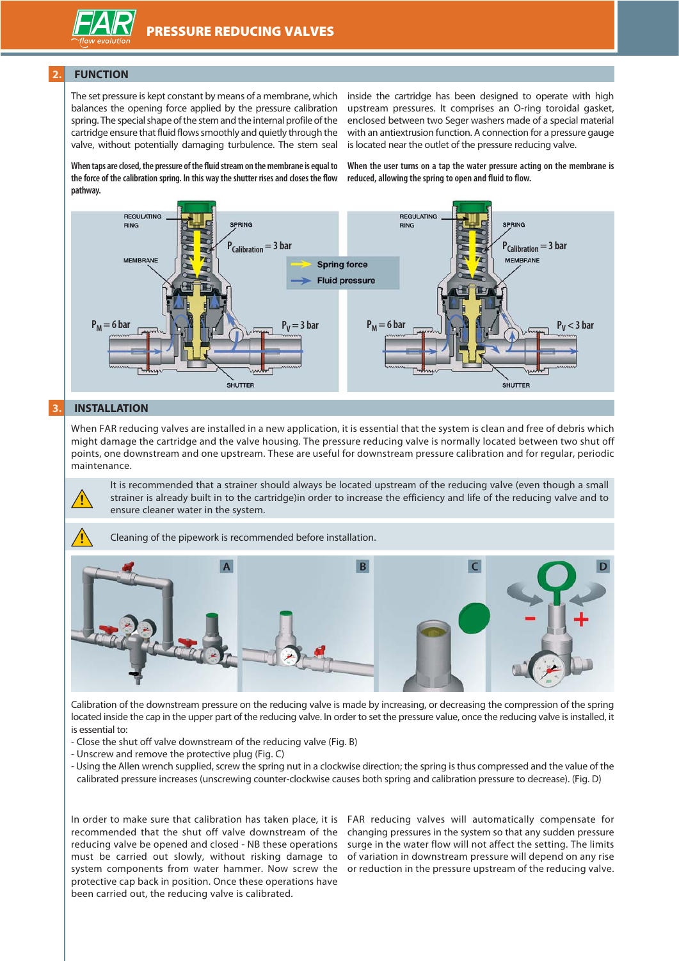

#### **2. FUNCTION**

The set pressure is kept constant by means of a membrane, which balances the opening force applied by the pressure calibration spring. The special shape of the stem and the internal profile of the cartridge ensure that fluid flows smoothly and quietly through the valve, without potentially damaging turbulence. The stem seal

inside the cartridge has been designed to operate with high upstream pressures. It comprises an O-ring toroidal gasket, enclosed between two Seger washers made of a special material with an antiextrusion function. A connection for a pressure gauge is located near the outlet of the pressure reducing valve.

**When taps are closed, the pressure of the fluid stream on the membrane is equal to the force of the calibration spring. In this way the shutter rises and closes the flow pathway.**

**When the user turns on a tap the water pressure acting on the membrane is reduced, allowing the spring to open and fluid to flow.**



#### **3. INSTALLATION**

When FAR reducing valves are installed in a new application, it is essential that the system is clean and free of debris which might damage the cartridge and the valve housing. The pressure reducing valve is normally located between two shut off points, one downstream and one upstream. These are useful for downstream pressure calibration and for regular, periodic maintenance.

It is recommended that a strainer should always be located upstream of the reducing valve (even though a small strainer is already built in to the cartridge)in order to increase the efficiency and life of the reducing valve and to



**!** Cleaning of the pipework is recommended before installation.



Calibration of the downstream pressure on the reducing valve is made by increasing, or decreasing the compression of the spring located inside the cap in the upper part of the reducing valve. In order to set the pressure value, once the reducing valve is installed, it is essential to:

- Close the shut off valve downstream of the reducing valve (Fig. B)
- Unscrew and remove the protective plug (Fig. C)

ensure cleaner water in the system.

- Using the Allen wrench supplied, screw the spring nut in a clockwise direction; the spring is thus compressed and the value of the calibrated pressure increases (unscrewing counter-clockwise causes both spring and calibration pressure to decrease). (Fig. D)

In order to make sure that calibration has taken place, it is recommended that the shut off valve downstream of the reducing valve be opened and closed - NB these operations must be carried out slowly, without risking damage to of variation in downstream pressure will depend on any rise system components from water hammer. Now screw the or reduction in the pressure upstream of the reducing valve. protective cap back in position. Once these operations have been carried out, the reducing valve is calibrated.

FAR reducing valves will automatically compensate for changing pressures in the system so that any sudden pressure surge in the water flow will not affect the setting. The limits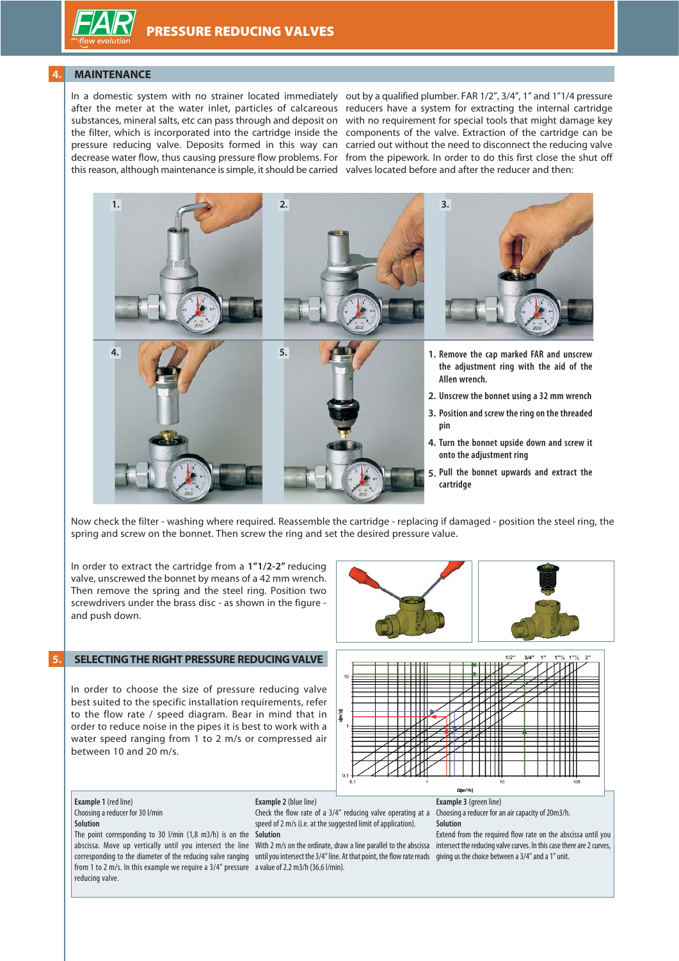### **4. MAINTENANCE**

In a domestic system with no strainer located immediately out by a qualified plumber. FAR 1/2", 3/4", 1" and 1"1/4 pressure after the meter at the water inlet, particles of calcareous reducers have a system for extracting the internal cartridge substances, mineral salts, etc can pass through and deposit on with no requirement for special tools that might damage key the filter, which is incorporated into the cartridge inside the components of the valve. Extraction of the cartridge can be pressure reducing valve. Deposits formed in this way can carried out without the need to disconnect the reducing valve decrease water flow, thus causing pressure flow problems. For from the pipework. In order to do this first close the shut off this reason, although maintenance is simple, it should be carried valves located before and after the reducer and then:



Now check the filter - washing where required. Reassemble the cartridge - replacing if damaged - position the steel ring, the spring and screw on the bonnet. Then screw the ring and set the desired pressure value.

In order to extract the cartridge from a **1"1/2-2"** reducing valve, unscrewed the bonnet by means of a 42 mm wrench. Then remove the spring and the steel ring. Position two screwdrivers under the brass disc - as shown in the figure and push down.

#### **5. SELECTING THE RIGHT PRESSURE REDUCING VALVE**

In order to choose the size of pressure reducing valve best suited to the specific installation requirements, refer to the flow rate / speed diagram. Bear in mind that in order to reduce noise in the pipes it is best to work with a water speed ranging from 1 to 2 m/s or compressed air between 10 and 20 m/s.







#### **Example 1** (red line) Choosing a reducer for 30 l/min **Solution**

The point corresponding to 30 l/min (1,8 m3/h) is on the **Solution** from 1 to 2 m/s. In this example we require a 3/4" pressure a value of 2.2 m3/h (36.6 l/min). reducing valve.

**Example 2** (blue line)

Check the flow rate of a 3/4" reducing valve operating at a speed of 2 m/s (i.e. at the suggested limit of application).

abscissa. Move up vertically until you intersect the line With 2 m/s on the ordinate, draw a line parallel to the abscissa corresponding to the diameter of the reducing valve ranging until you intersect the 3/4" line. At that point, the flow rate reads giving us the choice between a 3/4" and a 1" unit.

**Example 3** (green line) Choosing a reducer for an air capacity of 20m3/h. **Solution**

Extend from the required flow rate on the abscissa until you intersect the reducing valve curves. In this case there are 2 curves,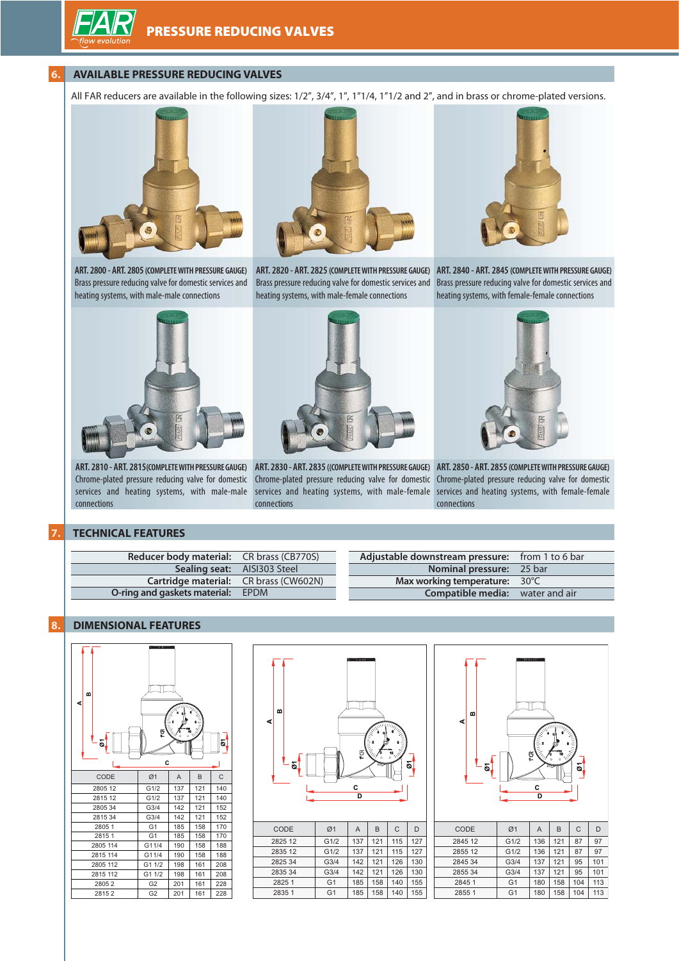#### **6. AVAILABLE PRESSURE REDUCING VALVES**

All FAR reducers are available in the following sizes: 1/2", 3/4", 1", 1"1/4, 1"1/2 and 2", and in brass or chrome-plated versions.



**ART. 2800 - ART. 2805 (COMPLETE WITH PRESSURE GAUGE)**

heating systems, with male-male connections



Brass pressure reducing valve for domestic services and heating systems, with male-female connections



**ART. 2820 - ART. 2825 (COMPLETE WITH PRESSURE GAUGE) ART. 2840 - ART. 2845 (COMPLETE WITH PRESSURE GAUGE)** Brass pressure reducing valve for domestic services and Brass pressure reducing valve for domestic services and heating systems, with female-female connections



**ART. 2810 - ART. 2815(COMPLETE WITH PRESSURE GAUGE)** connections



Chrome-plated pressure reducing valve for domestic Chrome-plated pressure reducing valve for domestic Chrome-plated pressure reducing valve for domestic services and heating systems, with male-male services and heating systems, with male-female services and heating systems, with female-female connections



**ART. 2830 - ART. 2835 ((COMPLETE WITH PRESSURE GAUGE) ART. 2850 - ART. 2855 (COMPLETE WITH PRESSURE GAUGE)** connections

#### **7. TECHNICAL FEATURES**

| <b>Reducer body material:</b> CR brass (CB770S) | Adjustable downstream pressure: from 1 to 6 bar |
|-------------------------------------------------|-------------------------------------------------|
| <b>Sealing seat:</b> AISI303 Steel              | <b>Nominal pressure:</b> 25 bar                 |
| Cartridge material: CR brass (CW602N)           | Max working temperature: $30^{\circ}$ C         |
| <b>O-ring and gaskets material:</b> EPDM        | <b>Compatible media:</b> water and air          |

#### **8. DIMENSIONAL FEATURES**





| CODE    | Ø1             | A   | B   | $\mathsf{C}$ | D   |
|---------|----------------|-----|-----|--------------|-----|
| 2825 12 | G1/2           | 137 | 121 | 115          | 127 |
| 2835 12 | G1/2           | 137 | 121 | 115          | 127 |
| 2825 34 | G3/4           | 142 | 121 | 126          | 130 |
| 2835 34 | G3/4           | 142 | 121 | 126          | 130 |
| 2825 1  | G <sub>1</sub> | 185 | 158 | 140          | 155 |
| 2835 1  | G <sub>1</sub> | 185 | 158 | 140          | 155 |



| CODE    | Ø1               | A   | В   | С   | D   |
|---------|------------------|-----|-----|-----|-----|
| 2845 12 | G1/2             | 136 | 121 | 87  | 97  |
| 2855 12 | G1/2             | 136 | 121 | 87  | 97  |
| 2845 34 | G <sub>3/4</sub> | 137 | 121 | 95  | 101 |
| 285534  | G <sub>3/4</sub> | 137 | 121 | 95  | 101 |
| 2845 1  | G <sub>1</sub>   | 180 | 158 | 104 | 113 |
| 2855 1  | G <sub>1</sub>   | 180 | 158 | 104 | 113 |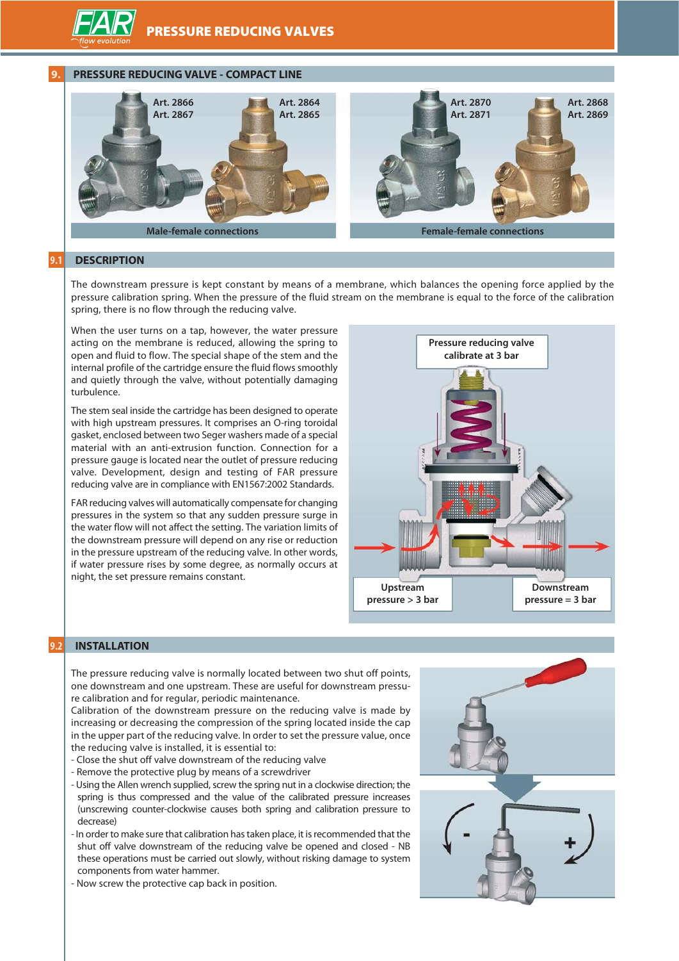

#### **9. PRESSURE REDUCING VALVE - COMPACT LINE**



#### **9.1 DESCRIPTION**

The downstream pressure is kept constant by means of a membrane, which balances the opening force applied by the pressure calibration spring. When the pressure of the fluid stream on the membrane is equal to the force of the calibration spring, there is no flow through the reducing valve.

When the user turns on a tap, however, the water pressure acting on the membrane is reduced, allowing the spring to open and fluid to flow. The special shape of the stem and the internal profile of the cartridge ensure the fluid flows smoothly and quietly through the valve, without potentially damaging turbulence.

The stem seal inside the cartridge has been designed to operate with high upstream pressures. It comprises an O-ring toroidal gasket, enclosed between two Seger washers made of a special material with an anti-extrusion function. Connection for a pressure gauge is located near the outlet of pressure reducing valve. Development, design and testing of FAR pressure reducing valve are in compliance with EN1567:2002 Standards.

FAR reducing valves will automatically compensate for changing pressures in the system so that any sudden pressure surge in the water flow will not affect the setting. The variation limits of the downstream pressure will depend on any rise or reduction in the pressure upstream of the reducing valve. In other words, if water pressure rises by some degree, as normally occurs at night, the set pressure remains constant.



# **9.2 INSTALLATION**

The pressure reducing valve is normally located between two shut off points, one downstream and one upstream. These are useful for downstream pressure calibration and for regular, periodic maintenance.

Calibration of the downstream pressure on the reducing valve is made by increasing or decreasing the compression of the spring located inside the cap in the upper part of the reducing valve. In order to set the pressure value, once the reducing valve is installed, it is essential to:

- Close the shut off valve downstream of the reducing valve
- Remove the protective plug by means of a screwdriver
- Using the Allen wrench supplied, screw the spring nut in a clockwise direction; the spring is thus compressed and the value of the calibrated pressure increases (unscrewing counter-clockwise causes both spring and calibration pressure to decrease)
- In order to make sure that calibration has taken place, it is recommended that the shut off valve downstream of the reducing valve be opened and closed - NB these operations must be carried out slowly, without risking damage to system components from water hammer.
- Now screw the protective cap back in position.